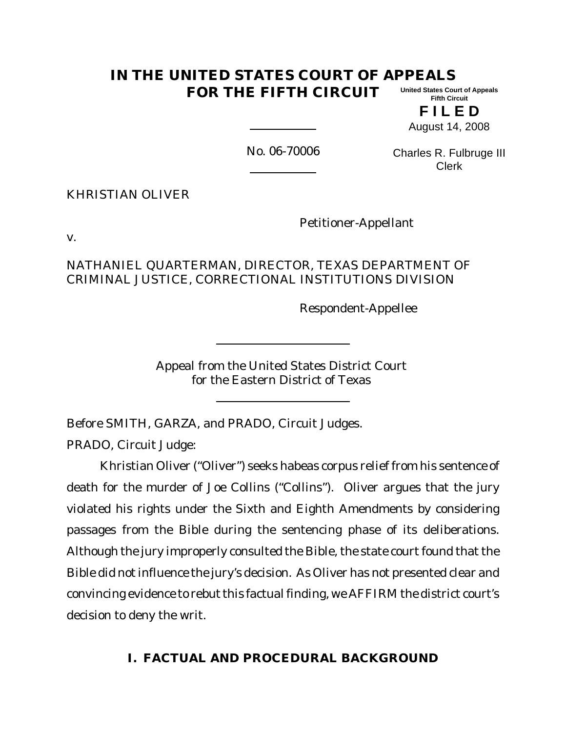#### **IN THE UNITED STATES COURT OF APPEALS FOR THE FIFTH CIRCUIT United States Court of Appeals Fifth Circuit**

**F I L E D** August 14, 2008

No. 06-70006

Charles R. Fulbruge III Clerk

KHRISTIAN OLIVER

Petitioner-Appellant

v.

NATHANIEL QUARTERMAN, DIRECTOR, TEXAS DEPARTMENT OF CRIMINAL JUSTICE, CORRECTIONAL INSTITUTIONS DIVISION

Respondent-Appellee

Appeal from the United States District Court for the Eastern District of Texas

Before SMITH, GARZA, and PRADO, Circuit Judges.

PRADO, Circuit Judge:

Khristian Oliver ("Oliver") seeks habeas corpus relief from his sentence of death for the murder of Joe Collins ("Collins"). Oliver argues that the jury violated his rights under the Sixth and Eighth Amendments by considering passages from the Bible during the sentencing phase of its deliberations. Although the jury improperly consulted the Bible, the state court found that the Bible did not influence the jury's decision. As Oliver has not presented clear and convincing evidence to rebut this factual finding, we AFFIRM the district court's decision to deny the writ.

**I. FACTUAL AND PROCEDURAL BACKGROUND**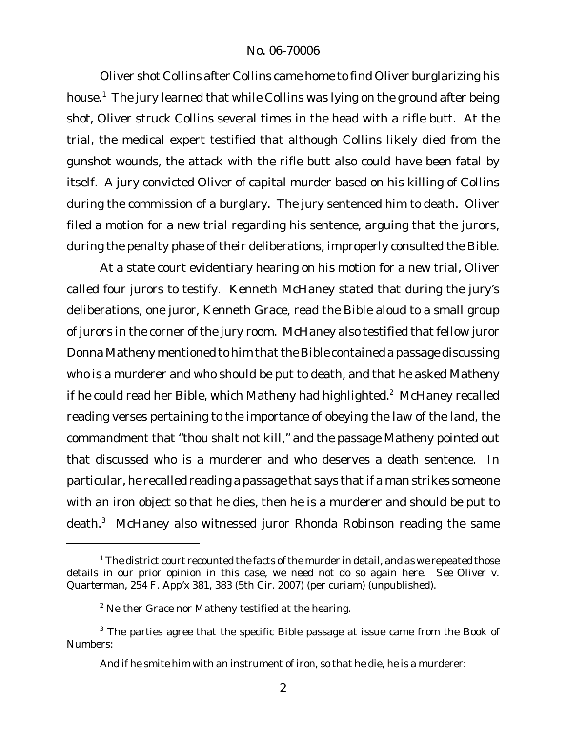Oliver shot Collins after Collins came home to find Oliver burglarizing his house.<sup>1</sup> The jury learned that while Collins was lying on the ground after being shot, Oliver struck Collins several times in the head with a rifle butt. At the trial, the medical expert testified that although Collins likely died from the gunshot wounds, the attack with the rifle butt also could have been fatal by itself. A jury convicted Oliver of capital murder based on his killing of Collins during the commission of a burglary. The jury sentenced him to death. Oliver filed a motion for a new trial regarding his sentence, arguing that the jurors, during the penalty phase of their deliberations, improperly consulted the Bible.

At a state court evidentiary hearing on his motion for a new trial, Oliver called four jurors to testify. Kenneth McHaney stated that during the jury's deliberations, one juror, Kenneth Grace, read the Bible aloud to a small group of jurors in the corner of the jury room. McHaney also testified that fellow juror Donna Matheny mentioned to him that the Bible contained a passage discussing who is a murderer and who should be put to death, and that he asked Matheny if he could read her Bible, which Matheny had highlighted. $<sup>2</sup>$  McHaney recalled</sup> reading verses pertaining to the importance of obeying the law of the land, the commandment that "thou shalt not kill," and the passage Matheny pointed out that discussed who is a murderer and who deserves a death sentence. In particular, he recalled reading a passage that says that if a man strikes someone with an iron object so that he dies, then he is a murderer and should be put to death.<sup>3</sup> McHaney also witnessed juror Rhonda Robinson reading the same

 $1$  The district court recounted the facts of the murder in detail, and as we repeated those details in our prior opinion in this case, we need not do so again here. *See Oliver v. Quarterman*, 254 F. App'x 381, 383 (5th Cir. 2007) (per curiam) (unpublished).

<sup>&</sup>lt;sup>2</sup> Neither Grace nor Matheny testified at the hearing.

<sup>&</sup>lt;sup>3</sup> The parties agree that the specific Bible passage at issue came from the Book of Numbers:

And if he smite him with an instrument of iron, so that he die, he is a murderer: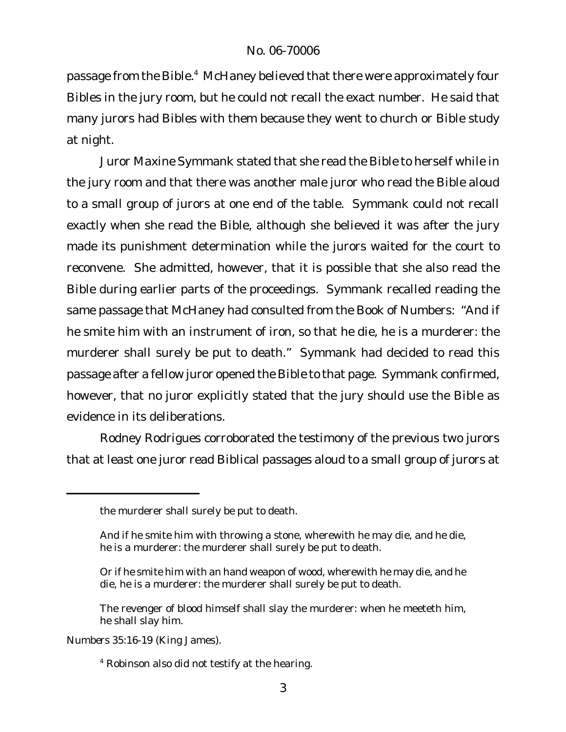passage from the Bible.<sup>4</sup> McHaney believed that there were approximately four Bibles in the jury room, but he could not recall the exact number. He said that many jurors had Bibles with them because they went to church or Bible study at night.

Juror Maxine Symmank stated that she read the Bible to herself while in the jury room and that there was another male juror who read the Bible aloud to a small group of jurors at one end of the table. Symmank could not recall exactly when she read the Bible, although she believed it was after the jury made its punishment determination while the jurors waited for the court to reconvene. She admitted, however, that it is possible that she also read the Bible during earlier parts of the proceedings. Symmank recalled reading the same passage that McHaney had consulted from the Book of Numbers: "And if he smite him with an instrument of iron, so that he die, he is a murderer: the murderer shall surely be put to death." Symmank had decided to read this passage after a fellow juror opened the Bible to that page. Symmank confirmed, however, that no juror explicitly stated that the jury should use the Bible as evidence in its deliberations.

Rodney Rodrigues corroborated the testimony of the previous two jurors that at least one juror read Biblical passages aloud to a small group of jurors at

*Numbers* 35:16-19 (King James).

the murderer shall surely be put to death.

And if he smite him with throwing a stone, wherewith he may die, and he die, he is a murderer: the murderer shall surely be put to death.

Or if he smite him with an hand weapon of wood, wherewith he may die, and he die, he is a murderer: the murderer shall surely be put to death.

The revenger of blood himself shall slay the murderer: when he meeteth him, he shall slay him.

<sup>4</sup> Robinson also did not testify at the hearing.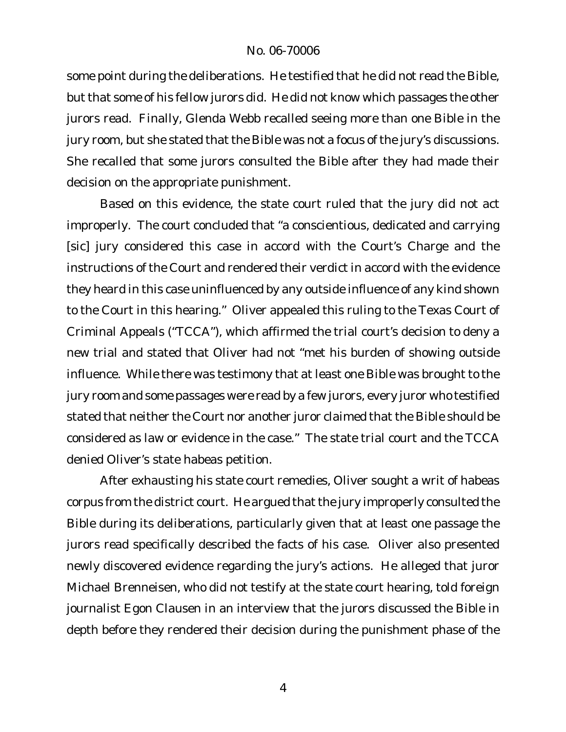some point during the deliberations. He testified that he did not read the Bible, but that some of his fellow jurors did. He did not know which passages the other jurors read. Finally, Glenda Webb recalled seeing more than one Bible in the jury room, but she stated that the Bible was not a focus of the jury's discussions. She recalled that some jurors consulted the Bible after they had made their decision on the appropriate punishment.

Based on this evidence, the state court ruled that the jury did not act improperly. The court concluded that "a conscientious, dedicated and carrying [sic] jury considered this case in accord with the Court's Charge and the instructions of the Court and rendered their verdict in accord with the evidence they heard in this case uninfluenced by any outside influence of any kind shown to the Court in this hearing." Oliver appealed this ruling to the Texas Court of Criminal Appeals ("TCCA"), which affirmed the trial court's decision to deny a new trial and stated that Oliver had not "met his burden of showing outside influence. While there was testimony that at least one Bible was brought to the jury room and some passages were read by a few jurors, every juror who testified stated that neither the Court nor another juror claimed that the Bible should be considered as law or evidence in the case." The state trial court and the TCCA denied Oliver's state habeas petition.

After exhausting his state court remedies, Oliver sought a writ of habeas corpus from the district court. He argued that the jury improperly consulted the Bible during its deliberations, particularly given that at least one passage the jurors read specifically described the facts of his case. Oliver also presented newly discovered evidence regarding the jury's actions. He alleged that juror Michael Brenneisen, who did not testify at the state court hearing, told foreign journalist Egon Clausen in an interview that the jurors discussed the Bible in depth before they rendered their decision during the punishment phase of the

4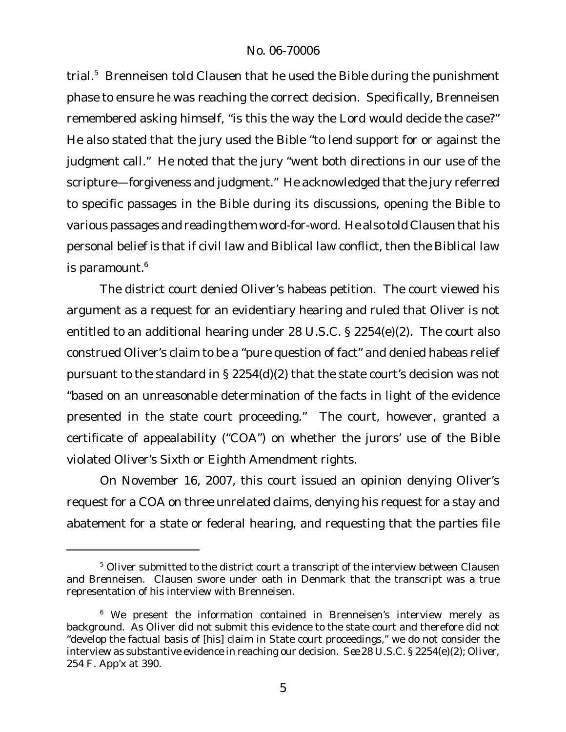trial.<sup>5</sup> Brenneisen told Clausen that he used the Bible during the punishment phase to ensure he was reaching the correct decision. Specifically, Brenneisen remembered asking himself, "is this the way the Lord would decide the case?" He also stated that the jury used the Bible "to lend support for or against the judgment call." He noted that the jury "went both directions in our use of the scripture—forgiveness and judgment." He acknowledged that the jury referred to specific passages in the Bible during its discussions, opening the Bible to various passages and reading them word-for-word. He also told Clausen that his personal belief is that if civil law and Biblical law conflict, then the Biblical law is paramount.<sup>6</sup>

The district court denied Oliver's habeas petition. The court viewed his argument as a request for an evidentiary hearing and ruled that Oliver is not entitled to an additional hearing under 28 U.S.C. § 2254(e)(2). The court also construed Oliver's claim to be a "pure question of fact" and denied habeas relief pursuant to the standard in § 2254(d)(2) that the state court's decision was not "based on an unreasonable determination of the facts in light of the evidence presented in the state court proceeding." The court, however, granted a certificate of appealability ("COA") on whether the jurors' use of the Bible violated Oliver's Sixth or Eighth Amendment rights.

On November 16, 2007, this court issued an opinion denying Oliver's request for a COA on three unrelated claims, denying his request for a stay and abatement for a state or federal hearing, and requesting that the parties file

<sup>&</sup>lt;sup>5</sup> Oliver submitted to the district court a transcript of the interview between Clausen and Brenneisen. Clausen swore under oath in Denmark that the transcript was a true representation of his interview with Brenneisen.

<sup>&</sup>lt;sup>6</sup> We present the information contained in Brenneisen's interview merely as background. As Oliver did not submit this evidence to the state court and therefore did not "develop the factual basis of [his] claim in State court proceedings," we do not consider the interview as substantive evidence in reaching our decision. *See* 28 U.S.C. § 2254(e)(2); *Oliver*, 254 F. App'x at 390.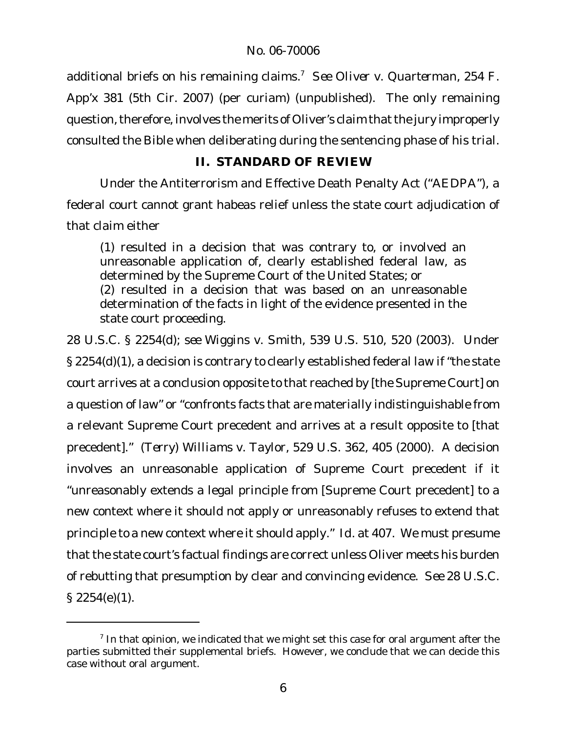additional briefs on his remaining claims.<sup>7</sup> *See Oliver v. Quarterman*, 254 F. App'x 381 (5th Cir. 2007) (per curiam) (unpublished). The only remaining question, therefore, involves the merits of Oliver's claim that the jury improperly consulted the Bible when deliberating during the sentencing phase of his trial.

# **II. STANDARD OF REVIEW**

Under the Antiterrorism and Effective Death Penalty Act ("AEDPA"), a federal court cannot grant habeas relief unless the state court adjudication of that claim either

(1) resulted in a decision that was contrary to, or involved an unreasonable application of, clearly established federal law, as determined by the Supreme Court of the United States; or (2) resulted in a decision that was based on an unreasonable determination of the facts in light of the evidence presented in the state court proceeding.

28 U.S.C. § 2254(d); *see Wiggins v. Smith*, 539 U.S. 510, 520 (2003). Under § 2254(d)(1), a decision is contrary to clearly established federal law if "the state court arrives at a conclusion opposite to that reached by [the Supreme Court] on a question of law" or "confronts facts that are materially indistinguishable from a relevant Supreme Court precedent and arrives at a result opposite to [that precedent]." *(Terry) Williams v. Taylor*, 529 U.S. 362, 405 (2000). A decision involves an unreasonable application of Supreme Court precedent if it "unreasonably extends a legal principle from [Supreme Court precedent] to a new context where it should not apply or unreasonably refuses to extend that principle to a new context where it should apply." *Id.* at 407. We must presume that the state court's factual findings are correct unless Oliver meets his burden of rebutting that presumption by clear and convincing evidence. *See* 28 U.S.C. § 2254(e)(1).

 $^7$  In that opinion, we indicated that we might set this case for oral argument after the parties submitted their supplemental briefs. However, we conclude that we can decide this case without oral argument.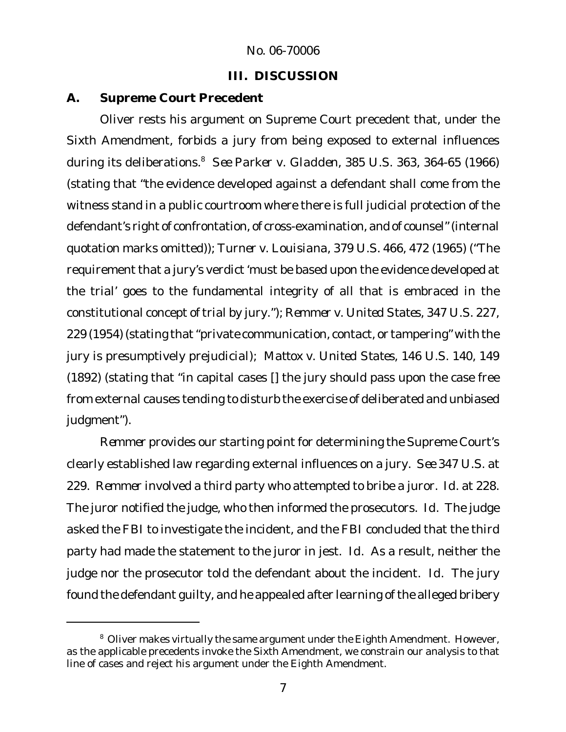## **III. DISCUSSION**

## **A. Supreme Court Precedent**

Oliver rests his argument on Supreme Court precedent that, under the Sixth Amendment, forbids a jury from being exposed to external influences during its deliberations.<sup>8</sup> *See Parker v. Gladden*, 385 U.S. 363, 364-65 (1966) (stating that "the evidence developed against a defendant shall come from the witness stand in a public courtroom where there is full judicial protection of the defendant's right of confrontation, of cross-examination, and of counsel" (internal quotation marks omitted)); *Turner v. Louisiana*, 379 U.S. 466, 472 (1965) ("The requirement that a jury's verdict 'must be based upon the evidence developed at the trial' goes to the fundamental integrity of all that is embraced in the constitutional concept of trial by jury."); *Remmer v. United States*, 347 U.S. 227, 229 (1954) (stating that"private communication, contact, or tampering" with the jury is presumptively prejudicial); *Mattox v. United States*, 146 U.S. 140, 149 (1892) (stating that "in capital cases [] the jury should pass upon the case free from external causes tending to disturb the exercise of deliberated and unbiased judgment").

*Remmer* provides our starting point for determining the Supreme Court's clearly established law regarding external influences on a jury. *See* 347 U.S. at 229. *Remmer* involved a third party who attempted to bribe a juror. *Id.* at 228. The juror notified the judge, who then informed the prosecutors. *Id.* The judge asked the FBI to investigate the incident, and the FBI concluded that the third party had made the statement to the juror in jest. *Id.* As a result, neither the judge nor the prosecutor told the defendant about the incident. *Id.* The jury found the defendant guilty, and he appealed after learning of the alleged bribery

<sup>&</sup>lt;sup>8</sup> Oliver makes virtually the same argument under the Eighth Amendment. However, as the applicable precedents invoke the Sixth Amendment, we constrain our analysis to that line of cases and reject his argument under the Eighth Amendment.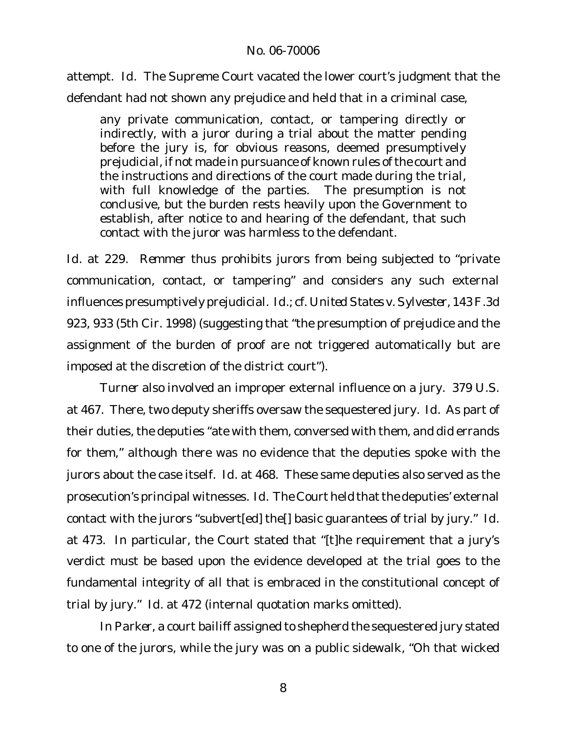attempt. *Id.* The Supreme Court vacated the lower court's judgment that the defendant had not shown any prejudice and held that in a criminal case,

any private communication, contact, or tampering directly or indirectly, with a juror during a trial about the matter pending before the jury is, for obvious reasons, deemed presumptively prejudicial, if not made in pursuance of known rules of the court and the instructions and directions of the court made during the trial, with full knowledge of the parties. The presumption is not conclusive, but the burden rests heavily upon the Government to establish, after notice to and hearing of the defendant, that such contact with the juror was harmless to the defendant.

*Id.* at 229. *Remmer* thus prohibits jurors from being subjected to "private communication, contact, or tampering" and considers any such external influences presumptively prejudicial. *Id.*; *cf. United States v.Sylvester*, 143F.3d 923, 933 (5th Cir. 1998) (suggesting that "the presumption of prejudice and the assignment of the burden of proof are not triggered automatically but are imposed at the discretion of the district court").

*Turner* also involved an improper external influence on a jury. 379 U.S. at 467. There, two deputy sheriffs oversaw the sequestered jury. *Id.* As part of their duties, the deputies "ate with them, conversed with them, and did errands for them," although there was no evidence that the deputies spoke with the jurors about the case itself. *Id.* at 468. These same deputies also served as the prosecution's principal witnesses. *Id.* The Court held that the deputies' external contact with the jurors "subvert[ed] the[] basic guarantees of trial by jury." *Id.* at 473. In particular, the Court stated that "[t]he requirement that a jury's verdict must be based upon the evidence developed at the trial goes to the fundamental integrity of all that is embraced in the constitutional concept of trial by jury." *Id.* at 472 (internal quotation marks omitted).

In *Parker*, a court bailiff assigned to shepherd the sequestered jury stated to one of the jurors, while the jury was on a public sidewalk, "Oh that wicked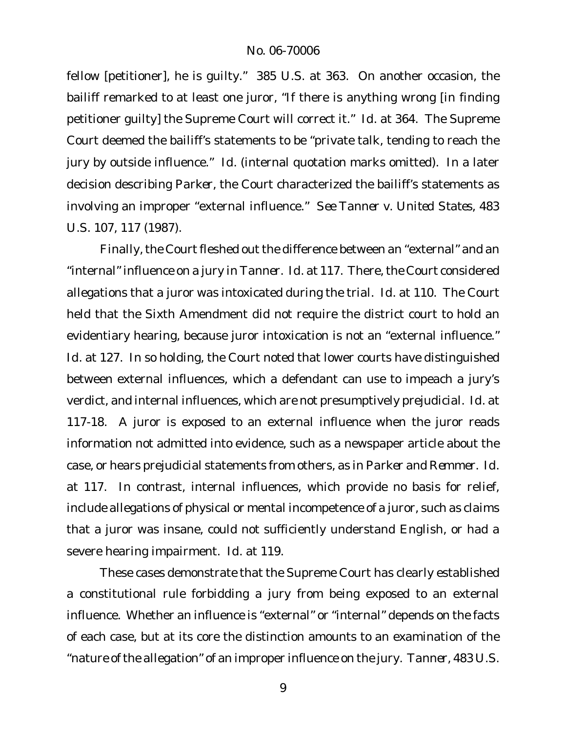fellow [petitioner], he is guilty." 385 U.S. at 363. On another occasion, the bailiff remarked to at least one juror, "If there is anything wrong [in finding petitioner guilty] the Supreme Court will correct it." *Id.* at 364. The Supreme Court deemed the bailiff's statements to be "private talk, tending to reach the jury by outside influence." *Id.* (internal quotation marks omitted). In a later decision describing *Parker*, the Court characterized the bailiff's statements as involving an improper "external influence." *See Tanner v. United States*, 483 U.S. 107, 117 (1987).

Finally, the Court fleshed out the difference between an "external" and an "internal" influence on a jury in *Tanner*. *Id.* at 117. There, the Court considered allegations that a juror was intoxicated during the trial. *Id.* at 110. The Court held that the Sixth Amendment did not require the district court to hold an evidentiary hearing, because juror intoxication is not an "external influence." *Id.* at 127. In so holding, the Court noted that lower courts have distinguished between external influences, which a defendant can use to impeach a jury's verdict, and internal influences, which are not presumptively prejudicial. *Id.* at 117-18. A juror is exposed to an external influence when the juror reads information not admitted into evidence, such as a newspaper article about the case, or hears prejudicial statements from others, as in *Parker* and *Remmer*. *Id.* at 117. In contrast, internal influences, which provide no basis for relief, include allegations of physical or mental incompetence of a juror, such as claims that a juror was insane, could not sufficiently understand English, or had a severe hearing impairment. *Id.* at 119.

These cases demonstrate that the Supreme Court has clearly established a constitutional rule forbidding a jury from being exposed to an external influence. Whether an influence is "external" or "internal" depends on the facts of each case, but at its core the distinction amounts to an examination of the "nature ofthe allegation" of an improper influence on the jury. *Tanner*, 483 U.S.

9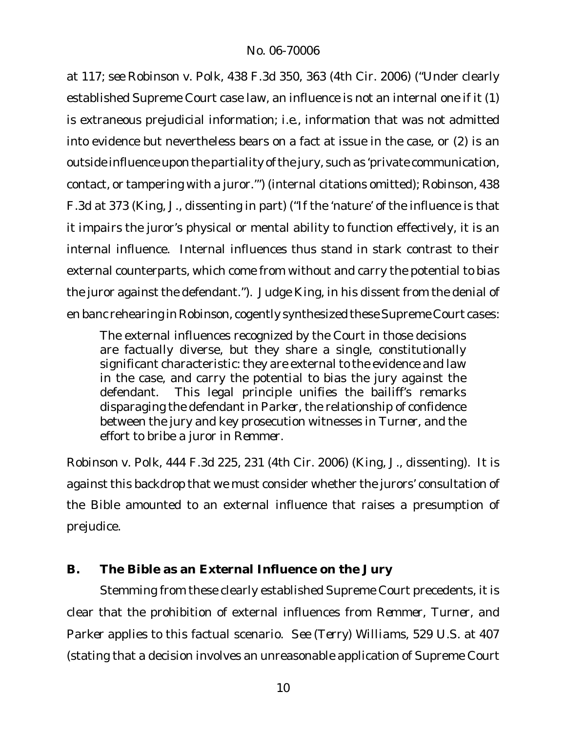at 117; *see Robinson v. Polk*, 438 F.3d 350, 363 (4th Cir. 2006) ("Under clearly established Supreme Court case law, an influence is not an internal one if it (1) is extraneous prejudicial information; *i.e.*, information that was not admitted into evidence but nevertheless bears on a fact at issue in the case, or (2) is an outside influence upon the partiality of the jury, such as 'private communication, contact, or tampering with a juror.'") (internal citations omitted); *Robinson*, 438 F.3d at 373 (King, J., dissenting in part) ("If the 'nature' of the influence is that it *impairs* the juror's physical or mental ability to function effectively, it is an internal influence. Internal influences thus stand in stark contrast to their external counterparts, which come from without and carry the potential to *bias* the juror against the defendant."). Judge King, in his dissent from the denial of en banc rehearing in *Robinson*, cogently synthesized these Supreme Court cases:

The external influences recognized by the Court in those decisions are factually diverse, but they share a single, constitutionally significant characteristic: they are external to the evidence and law in the case, and carry the potential to bias the jury against the defendant. This legal principle unifies the bailiff's remarks disparaging the defendant in *Parker*, the relationship of confidence between the jury and key prosecution witnesses in *Turner*, and the effort to bribe a juror in *Remmer*.

*Robinson v. Polk*, 444 F.3d 225, 231 (4th Cir. 2006) (King, J., dissenting). It is against this backdrop that we must consider whether the jurors' consultation of the Bible amounted to an external influence that raises a presumption of prejudice.

# **B. The Bible as an External Influence on the Jury**

Stemming from these clearly established Supreme Court precedents, it is clear that the prohibition of external influences from *Remmer*, *Turner*, and *Parker* applies to this factual scenario. *See (Terry) Williams*, 529 U.S. at 407 (stating that a decision involves an unreasonable application of Supreme Court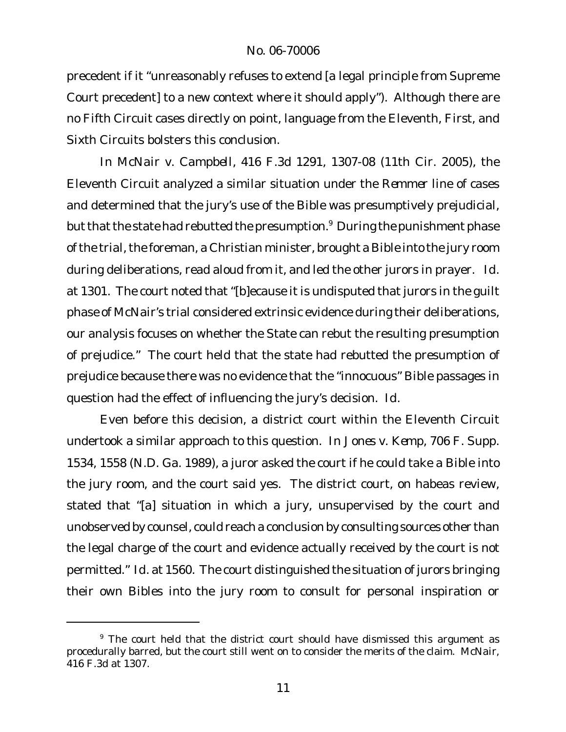precedent if it "unreasonably refuses to extend [a legal principle from Supreme Court precedent] to a new context where it should apply"). Although there are no Fifth Circuit cases directly on point, language from the Eleventh, First, and Sixth Circuits bolsters this conclusion.

In *McNair v. Campbell*, 416 F.3d 1291, 1307-08 (11th Cir. 2005), the Eleventh Circuit analyzed a similar situation under the *Remmer* line of cases and determined that the jury's use of the Bible was presumptively prejudicial, but that the state had rebutted the presumption.<sup>9</sup> During the punishment phase of the trial, the foreman, a Christian minister, brought a Bible into the jury room during deliberations, read aloud from it, and led the other jurors in prayer. *Id.* at 1301. The court noted that "[b]ecause it is undisputed that jurors in the guilt phase of McNair's trial considered extrinsic evidence during their deliberations, our analysis focuses on whether the State can rebut the resulting presumption of prejudice." The court held that the state had rebutted the presumption of prejudice because there was no evidence that the "innocuous" Bible passages in question had the effect of influencing the jury's decision. *Id.*

Even before this decision, a district court within the Eleventh Circuit undertook a similar approach to this question. In *Jones v. Kemp*, 706 F. Supp. 1534, 1558 (N.D. Ga. 1989), a juror asked the court if he could take a Bible into the jury room, and the court said yes. The district court, on habeas review, stated that "[a] situation in which a jury, unsupervised by the court and unobserved by counsel, could reach a conclusion by consulting sources other than the legal charge of the court and evidence actually received by the court is not permitted." *Id.* at 1560. The court distinguished the situation of jurors bringing their own Bibles into the jury room to consult for personal inspiration or

<sup>&</sup>lt;sup>9</sup> The court held that the district court should have dismissed this argument as procedurally barred, but the court still went on to consider the merits of the claim. *McNair*, 416 F.3d at 1307.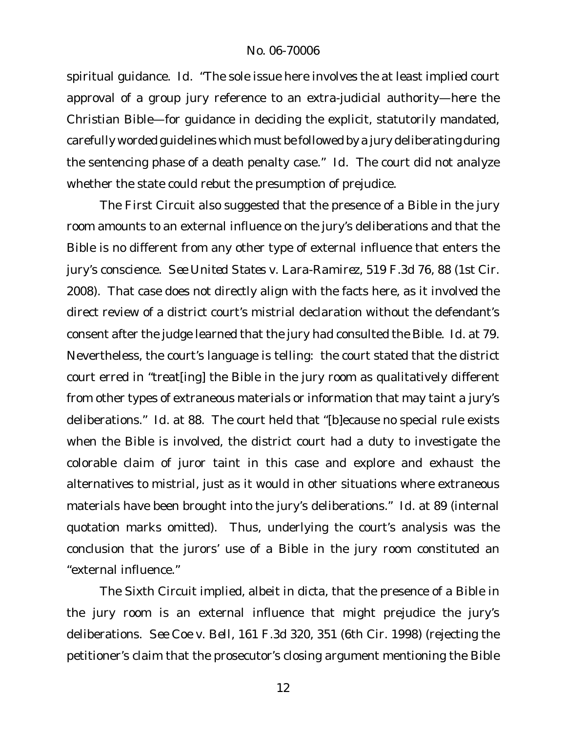spiritual guidance. *Id.* "The sole issue here involves the at least implied court approval of a group jury reference to an extra-judicial authority—here the Christian Bible—for guidance in deciding the explicit, statutorily mandated, carefully worded guidelines which must be followed by a jury deliberating during the sentencing phase of a death penalty case." *Id.* The court did not analyze whether the state could rebut the presumption of prejudice.

The First Circuit also suggested that the presence of a Bible in the jury room amounts to an external influence on the jury's deliberations and that the Bible is no different from any other type of external influence that enters the jury's conscience. *See United States v. Lara-Ramirez*, 519 F.3d 76, 88 (1st Cir. 2008). That case does not directly align with the facts here, as it involved the direct review of a district court's mistrial declaration without the defendant's consent after the judge learned that the jury had consulted the Bible. *Id.* at 79. Nevertheless, the court's language is telling: the court stated that the district court erred in "treat[ing] the Bible in the jury room as qualitatively different from other types of extraneous materials or information that may taint a jury's deliberations." *Id.* at 88. The court held that "[b]ecause no special rule exists when the Bible is involved, the district court had a duty to investigate the colorable claim of juror taint in this case and explore and exhaust the alternatives to mistrial, just as it would in other situations where extraneous materials have been brought into the jury's deliberations." *Id.* at 89 (internal quotation marks omitted). Thus, underlying the court's analysis was the conclusion that the jurors' use of a Bible in the jury room constituted an "external influence."

The Sixth Circuit implied, albeit in dicta, that the presence of a Bible in the jury room is an external influence that might prejudice the jury's deliberations. *See Coe v. Bell*, 161 F.3d 320, 351 (6th Cir. 1998) (rejecting the petitioner's claim that the prosecutor's closing argument mentioning the Bible

12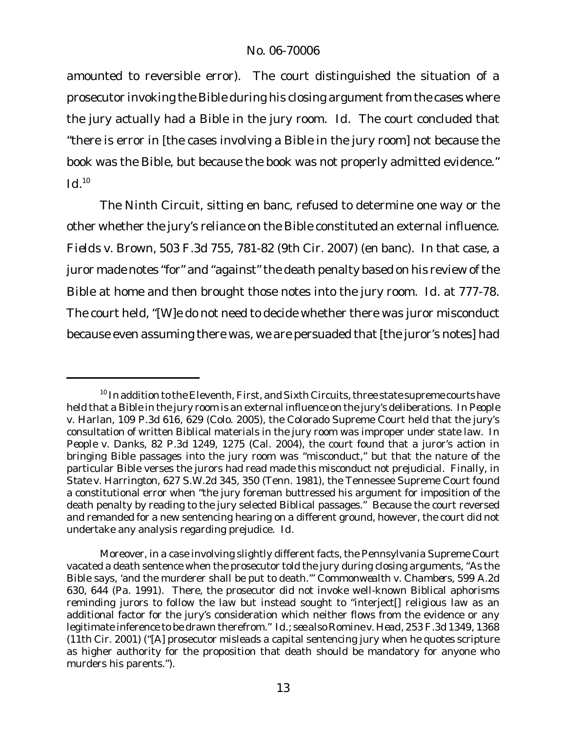amounted to reversible error). The court distinguished the situation of a prosecutor invoking the Bible during his closing argument from the cases where the jury actually had a Bible in the jury room. *Id.* The court concluded that "there is error in [the cases involving a Bible in the jury room] not because the book was the Bible, but because the book was not properly admitted evidence." *Id.*<sup>10</sup>

The Ninth Circuit, sitting en banc, refused to determine one way or the other whether the jury's reliance on the Bible constituted an external influence. *Fields v. Brown*, 503 F.3d 755, 781-82 (9th Cir. 2007) (en banc). In that case, a juror made notes "for" and "against" the death penalty based on his review of the Bible at home and then brought those notes into the jury room. *Id.* at 777-78. The court held, "[W]e do not need to decide whether there was juror misconduct because even assuming there was, we are persuaded that [the juror's notes] had

 $10$  In addition to the Eleventh, First, and Sixth Circuits, three state supreme courts have held that a Bible in the jury room is an external influence on the jury's deliberations. In *People v. Harlan*, 109 P.3d 616, 629 (Colo. 2005), the Colorado Supreme Court held that the jury's consultation of written Biblical materials in the jury room was improper under state law. In *People v. Danks*, 82 P.3d 1249, 1275 (Cal. 2004), the court found that a juror's action in bringing Bible passages into the jury room was "misconduct," but that the nature of the particular Bible verses the jurors had read made this misconduct not prejudicial. Finally, in *State v. Harrington*, 627 S.W.2d 345, 350 (Tenn. 1981), the Tennessee Supreme Court found a constitutional error when "the jury foreman buttressed his argument for imposition of the death penalty by reading to the jury selected Biblical passages." Because the court reversed and remanded for a new sentencing hearing on a different ground, however, the court did not undertake any analysis regarding prejudice. *Id.*

Moreover, in a case involving slightly different facts, the Pennsylvania Supreme Court vacated a death sentence when the prosecutor told the jury during closing arguments, "As the Bible says, 'and the murderer shall be put to death.'" *Commonwealth v. Chambers*, 599 A.2d 630, 644 (Pa. 1991). There, the prosecutor did not invoke well-known Biblical aphorisms reminding jurors to follow the law but instead sought to "interject[] religious law as an additional factor for the jury's consideration which neither flows from the evidence or any legitimate inference to be drawn therefrom." *Id.*; *see also Romine v. Head*, 253 F.3d 1349, 1368 (11th Cir. 2001) ("[A] prosecutor misleads a capital sentencing jury when he quotes scripture as higher authority for the proposition that death should be mandatory for anyone who murders his parents.").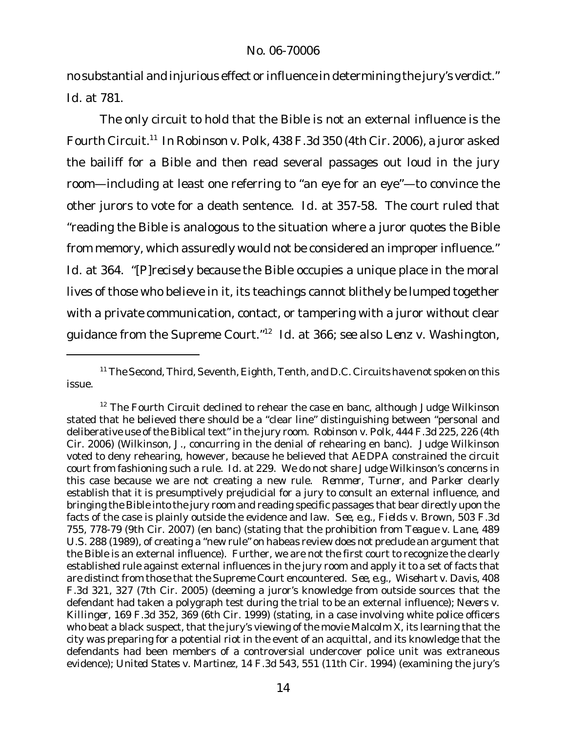no substantial and injurious effect or influence in determining the jury's verdict." *Id.* at 781.

The only circuit to hold that the Bible is not an external influence is the Fourth Circuit.<sup>11</sup> In *Robinson v. Polk*, 438 F.3d 350 (4th Cir. 2006), a juror asked the bailiff for a Bible and then read several passages out loud in the jury room—including at least one referring to "an eye for an eye"—to convince the other jurors to vote for a death sentence. *Id.* at 357-58. The court ruled that "reading the Bible is analogous to the situation where a juror quotes the Bible from memory, which assuredly would not be considered an improper influence." *Id.* at 364. "*[P]recisely because* the Bible occupies a unique place in the moral lives of those who believe in it, its teachings cannot blithely be lumped together with a private communication, contact, or tampering with a juror without clear guidance from the Supreme Court."<sup>12</sup> *Id.* at 366; *see also Lenz v. Washington*,

<sup>&</sup>lt;sup>11</sup> The Second, Third, Seventh, Eighth, Tenth, and D.C. Circuits have not spoken on this issue.

 $12$  The Fourth Circuit declined to rehear the case en banc, although Judge Wilkinson stated that he believed there should be a "clear line" distinguishing between "personal and deliberative use of the Biblical text" in the jury room. Robinson v. Polk, 444 F.3d 225, 226 (4th Cir. 2006) (Wilkinson, J., concurring in the denial of rehearing en banc). Judge Wilkinson voted to deny rehearing, however, because he believed that AEDPA constrained the circuit court from fashioning such a rule. *Id.* at 229. We do not share Judge Wilkinson's concerns in this case because we are not creating a new rule. *Remmer*, *Turner*, and *Parker* clearly establish that it is presumptively prejudicial for a jury to consult an external influence, and bringing the Bible into the jury room and reading specific passages that bear directly upon the facts of the case is plainly outside the evidence and law. *See, e.g.*, *Fields v. Brown*, 503 F.3d 755, 778-79 (9th Cir. 2007) (en banc) (stating that the prohibition from *Teague v. Lane*, 489 U.S. 288 (1989), of creating a "new rule" on habeas review does not preclude an argument that the Bible is an external influence). Further, we are not the first court to recognize the clearly established rule against external influences in the jury room and apply it to a set of facts that are distinct from those that the Supreme Court encountered. *See, e.g.*, *Wisehart v. Davis*, 408 F.3d 321, 327 (7th Cir. 2005) (deeming a juror's knowledge from outside sources that the defendant had taken a polygraph test during the trial to be an external influence); *Nevers v. Killinger*, 169 F.3d 352, 369 (6th Cir. 1999) (stating, in a case involving white police officers who beat a black suspect, that the jury's viewing of the movie Malcolm X, its learning that the city was preparing for a potential riot in the event of an acquittal, and its knowledge that the defendants had been members of a controversial undercover police unit was extraneous evidence); *United States v. Martinez*, 14 F.3d 543, 551 (11th Cir. 1994) (examining the jury's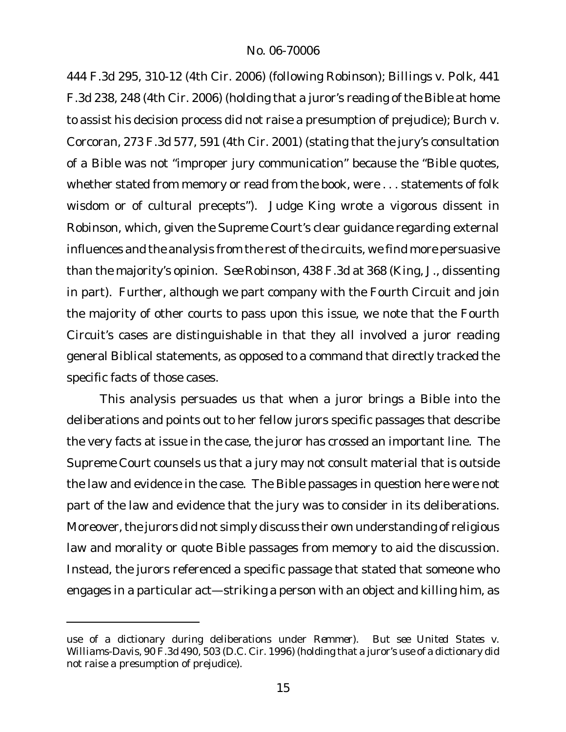444 F.3d 295, 310-12 (4th Cir. 2006) (following *Robinson*); *Billings v. Polk*, 441 F.3d 238, 248 (4th Cir. 2006) (holding that a juror's reading of the Bible at home to assist his decision process did not raise a presumption of prejudice); *Burch v. Corcoran*, 273 F.3d 577, 591 (4th Cir. 2001) (stating that the jury's consultation of a Bible was not "improper jury communication" because the "Bible quotes, whether stated from memory or read from the book, were . . . statements of folk wisdom or of cultural precepts"). Judge King wrote a vigorous dissent in *Robinson*, which, given the Supreme Court's clear guidance regarding external influences and the analysis from the rest of the circuits, we find more persuasive than the majority's opinion. *See Robinson*, 438 F.3d at 368 (King, J., dissenting in part). Further, although we part company with the Fourth Circuit and join the majority of other courts to pass upon this issue, we note that the Fourth Circuit's cases are distinguishable in that they all involved a juror reading general Biblical statements, as opposed to a command that directly tracked the specific facts of those cases.

This analysis persuades us that when a juror brings a Bible into the deliberations and points out to her fellow jurors specific passages that describe the very facts at issue in the case, the juror has crossed an important line. The Supreme Court counsels us that a jury may not consult material that is outside the law and evidence in the case. The Bible passages in question here were not part of the law and evidence that the jury was to consider in its deliberations. Moreover, the jurors did not simply discuss their own understanding of religious law and morality or quote Bible passages from memory to aid the discussion. Instead, the jurors referenced a specific passage that stated that someone who engages in a particular act—striking a person with an object and killing him, as

use of a dictionary during deliberations under *Remmer*). *But see United States v. Williams-Davis*, 90 F.3d 490, 503 (D.C. Cir. 1996) (holding that a juror's use of a dictionary did not raise a presumption of prejudice).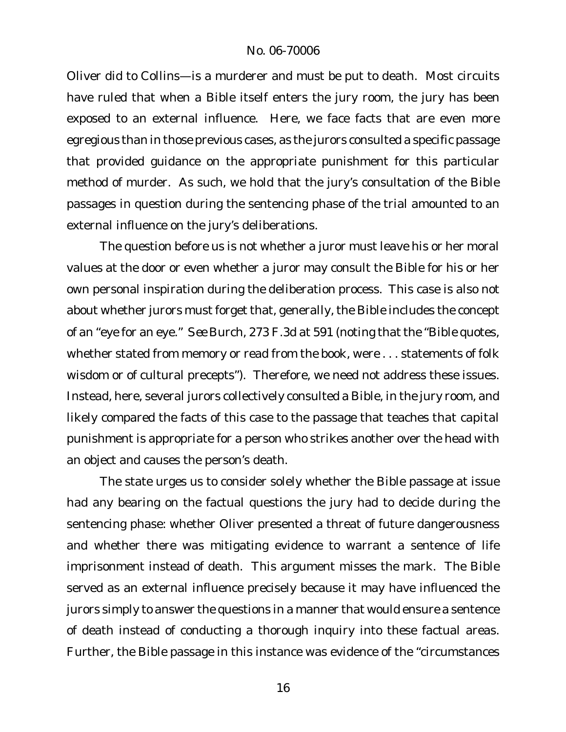Oliver did to Collins—is a murderer and must be put to death. Most circuits have ruled that when a Bible itself enters the jury room, the jury has been exposed to an external influence. Here, we face facts that are even more egregious than in those previous cases, as the jurors consulted a specific passage that provided guidance on the appropriate punishment for this particular method of murder. As such, we hold that the jury's consultation of the Bible passages in question during the sentencing phase of the trial amounted to an external influence on the jury's deliberations.

The question before us is not whether a juror must leave his or her moral values at the door or even whether a juror may consult the Bible for his or her own personal inspiration during the deliberation process. This case is also not about whether jurors must forget that, generally, the Bible includes the concept of an "eye for an eye." *See Burch*, 273 F.3d at 591 (noting that the "Bible quotes, whether stated from memory or read from the book, were . . . statements of folk wisdom or of cultural precepts"). Therefore, we need not address these issues. Instead, here, several jurors collectively consulted a Bible, in the jury room, and likely compared the facts of this case to the passage that teaches that capital punishment is appropriate for a person who strikes another over the head with an object and causes the person's death.

The state urges us to consider solely whether the Bible passage at issue had any bearing on the factual questions the jury had to decide during the sentencing phase: whether Oliver presented a threat of future dangerousness and whether there was mitigating evidence to warrant a sentence of life imprisonment instead of death. This argument misses the mark. The Bible served as an external influence precisely because it may have influenced the jurors simply to answer the questions in a manner that would ensure a sentence of death instead of conducting a thorough inquiry into these factual areas. Further, the Bible passage in this instance was evidence of the "circumstances

16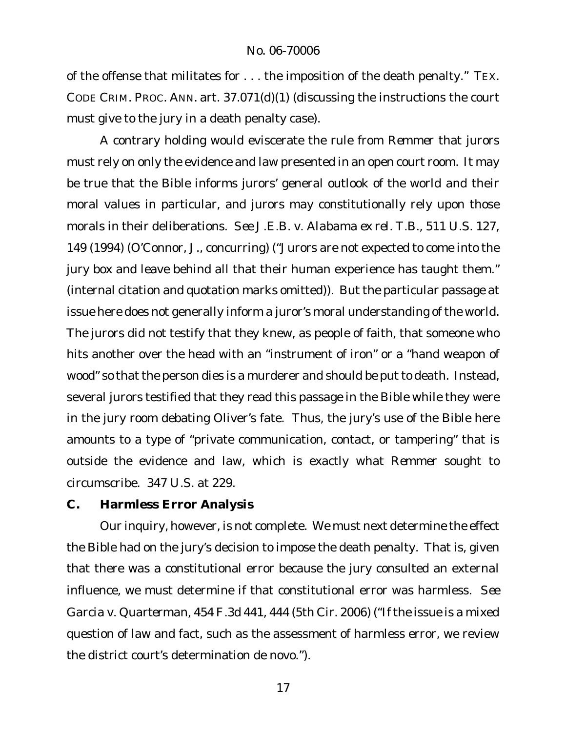of the offense that militates for . . . the imposition of the death penalty." TEX. CODE CRIM. PROC. ANN. art. 37.071(d)(1) (discussing the instructions the court must give to the jury in a death penalty case).

A contrary holding would eviscerate the rule from *Remmer* that jurors must rely on only the evidence and law presented in an open court room. It may be true that the Bible informs jurors' general outlook of the world and their moral values in particular, and jurors may constitutionally rely upon those morals in their deliberations. *See J.E.B. v. Alabama ex rel. T.B.*, 511 U.S. 127, 149 (1994) (O'Connor, J., concurring) ("Jurors are not expected to come into the jury box and leave behind all that their human experience has taught them." (internal citation and quotation marks omitted)). But the particular passage at issue here does not generally inform a juror's moral understanding of the world. The jurors did not testify that they knew, as people of faith, that someone who hits another over the head with an "instrument of iron" or a "hand weapon of wood" so that the person dies is a murderer and should be put to death. Instead, several jurors testified that they read this passage in the Bible while they were in the jury room debating Oliver's fate. Thus, the jury's use of the Bible here amounts to a type of "private communication, contact, or tampering" that is outside the evidence and law, which is exactly what *Remmer* sought to circumscribe. 347 U.S. at 229.

#### **C. Harmless Error Analysis**

Our inquiry, however, is not complete. We must next determine the effect the Bible had on the jury's decision to impose the death penalty. That is, given that there was a constitutional error because the jury consulted an external influence, we must determine if that constitutional error was harmless. *See Garcia v. Quarterman*, 454 F.3d 441, 444 (5th Cir. 2006) ("If the issue is a mixed question of law and fact, such as the assessment of harmless error, we review the district court's determination de novo.").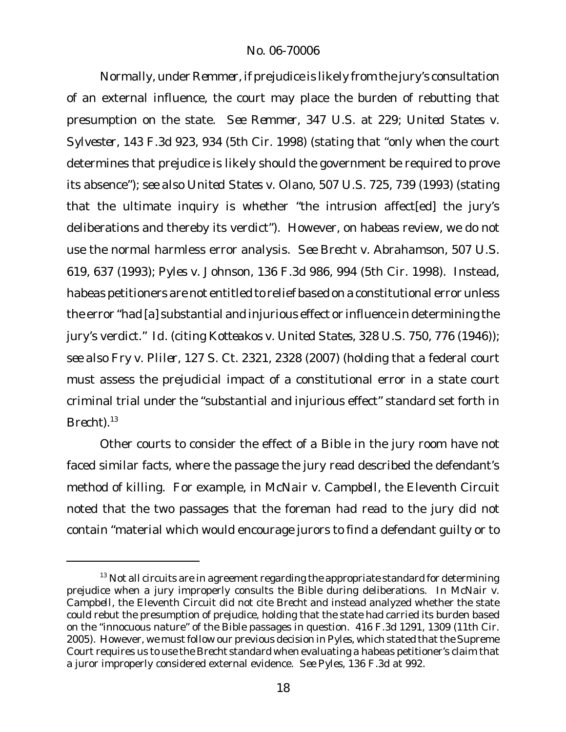Normally, under *Remmer*, if prejudice is likely from the jury's consultation of an external influence, the court may place the burden of rebutting that presumption on the state. *See Remmer*, 347 U.S. at 229; *United States v. Sylvester*, 143 F.3d 923, 934 (5th Cir. 1998) (stating that "only when the court determines that prejudice is likely should the government be required to prove its absence"); *see also United States v. Olano*, 507 U.S. 725, 739 (1993) (stating that the ultimate inquiry is whether "the intrusion affect[ed] the jury's deliberations and thereby its verdict"). However, on habeas review, we do not use the normal harmless error analysis. *See Brecht v. Abrahamson*, 507 U.S. 619, 637 (1993); *Pyles v. Johnson*, 136 F.3d 986, 994 (5th Cir. 1998). Instead, habeas petitioners are not entitled to relief based on a constitutional error unless the error "had [a] substantial and injurious effect or influence in determining the jury's verdict." *Id.* (citing *Kotteakos v. United States*, 328 U.S. 750, 776 (1946)); *see also Fry v. Pliler*, 127 S. Ct. 2321, 2328 (2007) (holding that a federal court must assess the prejudicial impact of a constitutional error in a state court criminal trial under the "substantial and injurious effect" standard set forth in *Brecht*).<sup>13</sup>

Other courts to consider the effect of a Bible in the jury room have not faced similar facts, where the passage the jury read described the defendant's method of killing. For example, in *McNair v. Campbell*, the Eleventh Circuit noted that the two passages that the foreman had read to the jury did not contain "material which would encourage jurors to find a defendant guilty or to

 $13$  Not all circuits are in agreement regarding the appropriate standard for determining prejudice when a jury improperly consults the Bible during deliberations. In *McNair v. Campbell*, the Eleventh Circuit did not cite *Brecht* and instead analyzed whether the state could rebut the presumption of prejudice, holding that the state had carried its burden based on the "innocuous nature" of the Bible passages in question. 416 F.3d 1291, 1309 (11th Cir. 2005). However, we must follow our previous decision in *Pyles*, which stated that the Supreme Court requires us to use the *Brecht* standard when evaluating a habeas petitioner's claim that a juror improperly considered external evidence. *See Pyles*, 136 F.3d at 992.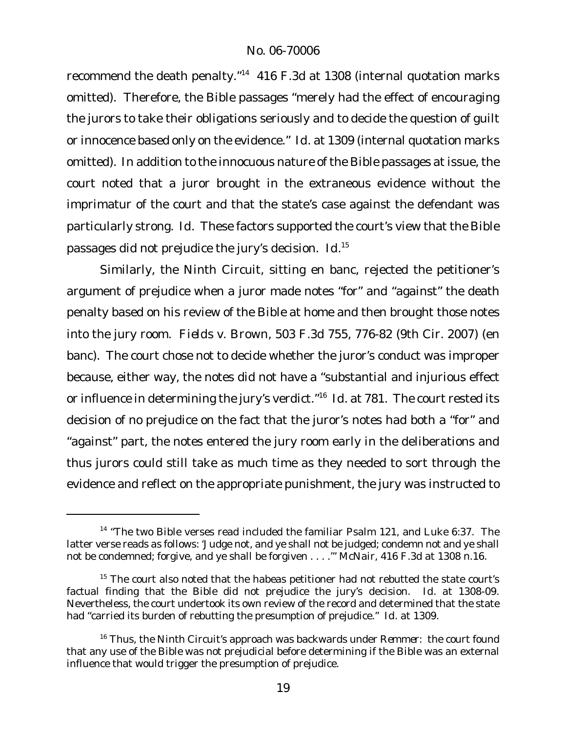recommend the death penalty."<sup>14</sup> 416 F.3d at 1308 (internal quotation marks omitted). Therefore, the Bible passages "merely had the effect of encouraging the jurors to take their obligations seriously and to decide the question of guilt or innocence based only on the evidence." *Id.* at 1309 (internal quotation marks omitted). In addition to the innocuous nature of the Bible passages at issue, the court noted that a juror brought in the extraneous evidence without the imprimatur of the court and that the state's case against the defendant was particularly strong. *Id.* These factors supported the court's view that the Bible passages did not prejudice the jury's decision. *Id.*<sup>15</sup>

Similarly, the Ninth Circuit, sitting en banc, rejected the petitioner's argument of prejudice when a juror made notes "for" and "against" the death penalty based on his review of the Bible at home and then brought those notes into the jury room. *Fields v. Brown*, 503 F.3d 755, 776-82 (9th Cir. 2007) (en banc). The court chose not to decide whether the juror's conduct was improper because, either way, the notes did not have a "substantial and injurious effect or influence in determining the jury's verdict."<sup>16</sup> *Id.* at 781. The court rested its decision of no prejudice on the fact that the juror's notes had both a "for" and "against" part, the notes entered the jury room early in the deliberations and thus jurors could still take as much time as they needed to sort through the evidence and reflect on the appropriate punishment, the jury was instructed to

 $14$  "The two Bible verses read included the familiar Psalm 121, and Luke 6:37. The latter verse reads as follows: 'Judge not, and ye shall not be judged; condemn not and ye shall not be condemned; forgive, and ye shall be forgiven . . . .'" *McNair*, 416 F.3d at 1308 n.16.

 $15$  The court also noted that the habeas petitioner had not rebutted the state court's factual finding that the Bible did not prejudice the jury's decision. *Id.* at 1308-09. Nevertheless, the court undertook its own review of the record and determined that the state had "carried its burden of rebutting the presumption of prejudice." *Id.* at 1309.

<sup>16</sup> Thus, the Ninth Circuit's approach was backwards under *Remmer*: the court found that any use of the Bible was not prejudicial before determining if the Bible was an external influence that would trigger the presumption of prejudice.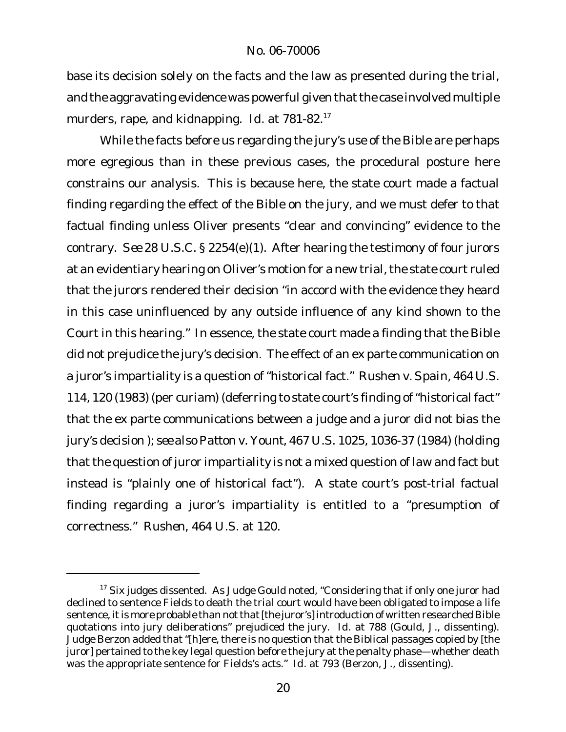base its decision solely on the facts and the law as presented during the trial, and the aggravating evidence was powerful given that the case involved multiple murders, rape, and kidnapping. *Id.* at 781-82.<sup>17</sup>

While the facts before us regarding the jury's use of the Bible are perhaps more egregious than in these previous cases, the procedural posture here constrains our analysis. This is because here, the state court made a factual finding regarding the effect of the Bible on the jury, and we must defer to that factual finding unless Oliver presents "clear and convincing" evidence to the contrary. *See* 28 U.S.C. § 2254(e)(1). After hearing the testimony of four jurors at an evidentiary hearing on Oliver's motion for a new trial, the state court ruled that the jurors rendered their decision "in accord with the evidence they heard in this case uninfluenced by any outside influence of any kind shown to the Court in this hearing." In essence, the state court made a finding that the Bible did not prejudice the jury's decision. The effect of an ex parte communication on a juror's impartiality is a question of "historical fact." *Rushen v. Spain*, 464 U.S. 114, 120 (1983) (per curiam) (deferring to state court's finding of "historical fact" that the ex parte communications between a judge and a juror did not bias the jury's decision ); *see also Patton v. Yount*, 467 U.S. 1025, 1036-37 (1984) (holding that the question of juror impartiality is not a mixed question of law and fact but instead is "plainly one of historical fact"). A state court's post-trial factual finding regarding a juror's impartiality is entitled to a "presumption of correctness." *Rushen*, 464 U.S. at 120.

<sup>&</sup>lt;sup>17</sup> Six judges dissented. As Judge Gould noted, "Considering that if only one juror had declined to sentence Fields to death the trial court would have been obligated to impose a life sentence, it is more probable than not that [the juror's] introduction of written researched Bible quotations into jury deliberations" prejudiced the jury. *Id.* at 788 (Gould, J., dissenting). Judge Berzon added that "[h]ere, there is no question that the Biblical passages copied by [the juror] pertained to the key legal question before the jury at the penalty phase—whether death was the appropriate sentence for Fields's acts." *Id.* at 793 (Berzon, J., dissenting).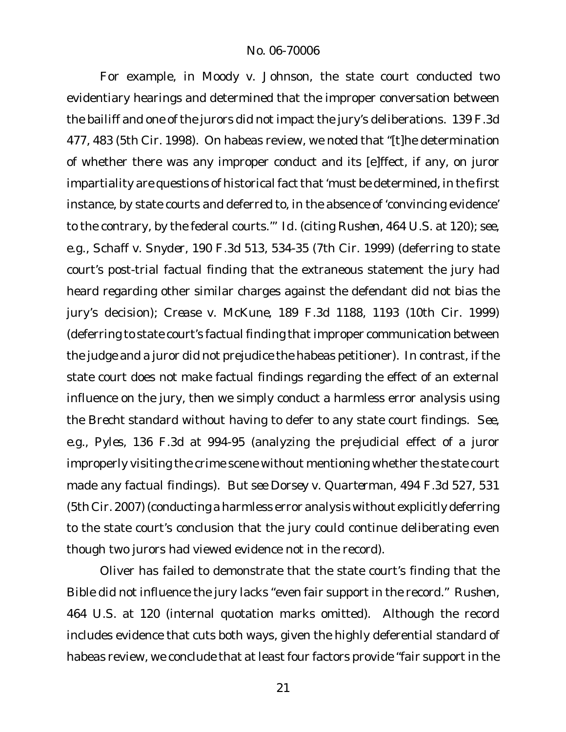For example, in *Moody v. Johnson*, the state court conducted two evidentiary hearings and determined that the improper conversation between the bailiff and one of the jurors did not impact the jury's deliberations. 139 F.3d 477, 483 (5th Cir. 1998). On habeas review, we noted that "[t]he determination of whether there was any improper conduct and its [e]ffect, if any, on juror impartiality are questions of historical fact that 'must be determined, in the first instance, by state courts and deferred to, in the absence of 'convincing evidence' to the contrary, by the federal courts.'" *Id.* (citing *Rushen*, 464 U.S. at 120); *see, e.g.*, *Schaff v. Snyder*, 190 F.3d 513, 534-35 (7th Cir. 1999) (deferring to state court's post-trial factual finding that the extraneous statement the jury had heard regarding other similar charges against the defendant did not bias the jury's decision); *Crease v. McKune*, 189 F.3d 1188, 1193 (10th Cir. 1999) (deferring to state court's factual finding that improper communication between the judge and a juror did not prejudice the habeas petitioner). In contrast, if the state court does not make factual findings regarding the effect of an external influence on the jury, then we simply conduct a harmless error analysis using the *Brecht* standard without having to defer to any state court findings. *See, e.g.*, *Pyles*, 136 F.3d at 994-95 (analyzing the prejudicial effect of a juror improperly visiting the crime scene without mentioning whether the state court made any factual findings). *But see Dorsey v. Quarterman*, 494 F.3d 527, 531 (5th Cir. 2007) (conducting a harmless error analysis without explicitly deferring to the state court's conclusion that the jury could continue deliberating even though two jurors had viewed evidence not in the record).

Oliver has failed to demonstrate that the state court's finding that the Bible did not influence the jury lacks "even fair support in the record." *Rushen*, 464 U.S. at 120 (internal quotation marks omitted). Although the record includes evidence that cuts both ways, given the highly deferential standard of habeas review, we conclude that at least four factors provide "fair support in the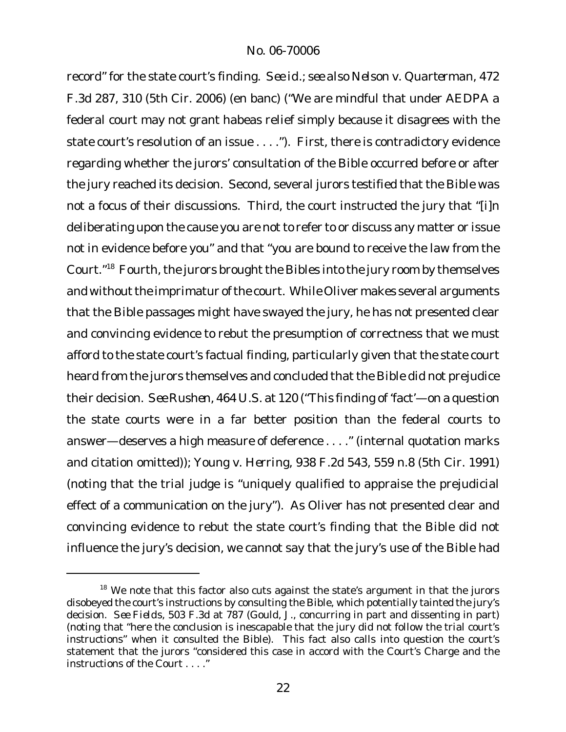record" for the state court's finding. *See id.*; *see also Nelson v. Quarterman*, 472 F.3d 287, 310 (5th Cir. 2006) (en banc) ("We are mindful that under AEDPA a federal court may not grant habeas relief simply because it disagrees with the state court's resolution of an issue . . . ."). First, there is contradictory evidence regarding whether the jurors' consultation of the Bible occurred before or after the jury reached its decision. Second, several jurors testified that the Bible was not a focus of their discussions. Third, the court instructed the jury that "[i]n deliberating upon the cause you are not to refer to or discuss any matter or issue not in evidence before you" and that "you are bound to receive the law from the Court."<sup>18</sup> Fourth, the jurors brought the Bibles into the jury room by themselves and without the imprimatur of the court. While Oliver makes several arguments that the Bible passages might have swayed the jury, he has not presented clear and convincing evidence to rebut the presumption of correctness that we must afford to the state court's factual finding, particularly given that the state court heard from the jurors themselves and concluded that the Bible did not prejudice their decision. *See Rushen*, 464 U.S. at 120 ("This finding of 'fact'—on a question the state courts were in a far better position than the federal courts to answer—deserves a high measure of deference . . . ." (internal quotation marks and citation omitted)); *Young v. Herring*, 938 F.2d 543, 559 n.8 (5th Cir. 1991) (noting that the trial judge is "uniquely qualified to appraise the prejudicial effect of a communication on the jury"). As Oliver has not presented clear and convincing evidence to rebut the state court's finding that the Bible did not influence the jury's decision, we cannot say that the jury's use of the Bible had

 $18$  We note that this factor also cuts against the state's argument in that the jurors disobeyed the court's instructions by consulting the Bible, which potentially tainted the jury's decision. *See Fields*, 503 F.3d at 787 (Gould, J., concurring in part and dissenting in part) (noting that "here the conclusion is inescapable that the jury did not follow the trial court's instructions" when it consulted the Bible). This fact also calls into question the court's statement that the jurors "considered this case in accord with the Court's Charge and the instructions of the Court . . . ."